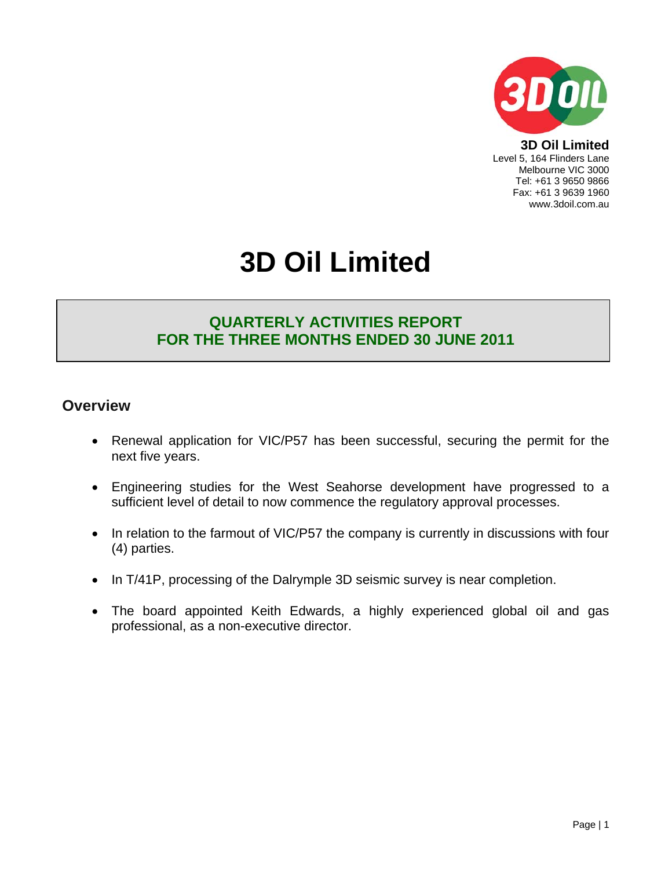

**3D Oil Limited**  Level 5, 164 Flinders Lane Melbourne VIC 3000 Tel: +61 3 9650 9866 Fax: +61 3 9639 1960 www.3doil.com.au

# **3D Oil Limited**

## **QUARTERLY ACTIVITIES REPORT FOR THE THREE MONTHS ENDED 30 JUNE 2011**

### **Overview**

- Renewal application for VIC/P57 has been successful, securing the permit for the next five years.
- Engineering studies for the West Seahorse development have progressed to a sufficient level of detail to now commence the regulatory approval processes.
- In relation to the farmout of VIC/P57 the company is currently in discussions with four (4) parties.
- In T/41P, processing of the Dalrymple 3D seismic survey is near completion.
- The board appointed Keith Edwards, a highly experienced global oil and gas professional, as a non-executive director.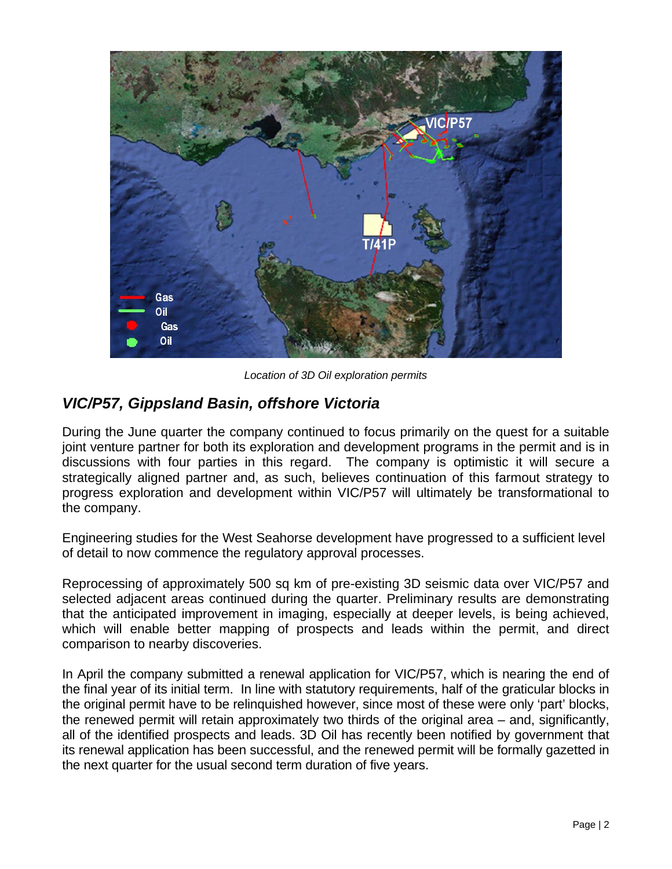

*Location of 3D Oil exploration permits* 

## *VIC/P57, Gippsland Basin, offshore Victoria*

During the June quarter the company continued to focus primarily on the quest for a suitable joint venture partner for both its exploration and development programs in the permit and is in discussions with four parties in this regard. The company is optimistic it will secure a strategically aligned partner and, as such, believes continuation of this farmout strategy to progress exploration and development within VIC/P57 will ultimately be transformational to the company.

Engineering studies for the West Seahorse development have progressed to a sufficient level of detail to now commence the regulatory approval processes.

Reprocessing of approximately 500 sq km of pre-existing 3D seismic data over VIC/P57 and selected adjacent areas continued during the quarter. Preliminary results are demonstrating that the anticipated improvement in imaging, especially at deeper levels, is being achieved, which will enable better mapping of prospects and leads within the permit, and direct comparison to nearby discoveries.

In April the company submitted a renewal application for VIC/P57, which is nearing the end of the final year of its initial term. In line with statutory requirements, half of the graticular blocks in the original permit have to be relinquished however, since most of these were only 'part' blocks, the renewed permit will retain approximately two thirds of the original area – and, significantly, all of the identified prospects and leads. 3D Oil has recently been notified by government that its renewal application has been successful, and the renewed permit will be formally gazetted in the next quarter for the usual second term duration of five years.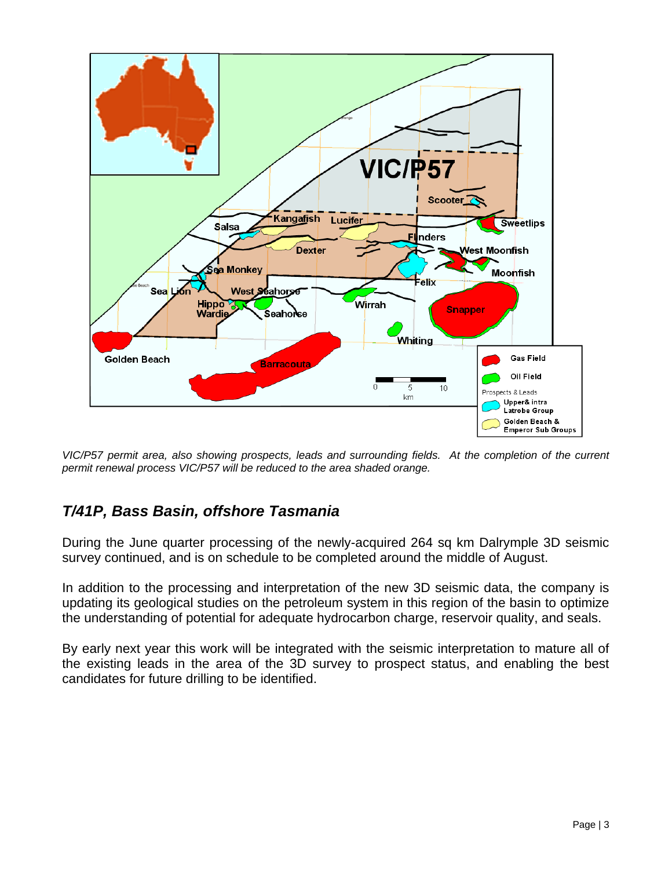

*VIC/P57 permit area, also showing prospects, leads and surrounding fields. At the completion of the current permit renewal process VIC/P57 will be reduced to the area shaded orange.*

## *T/41P, Bass Basin, offshore Tasmania*

During the June quarter processing of the newly-acquired 264 sq km Dalrymple 3D seismic survey continued, and is on schedule to be completed around the middle of August.

In addition to the processing and interpretation of the new 3D seismic data, the company is updating its geological studies on the petroleum system in this region of the basin to optimize the understanding of potential for adequate hydrocarbon charge, reservoir quality, and seals.

By early next year this work will be integrated with the seismic interpretation to mature all of the existing leads in the area of the 3D survey to prospect status, and enabling the best candidates for future drilling to be identified.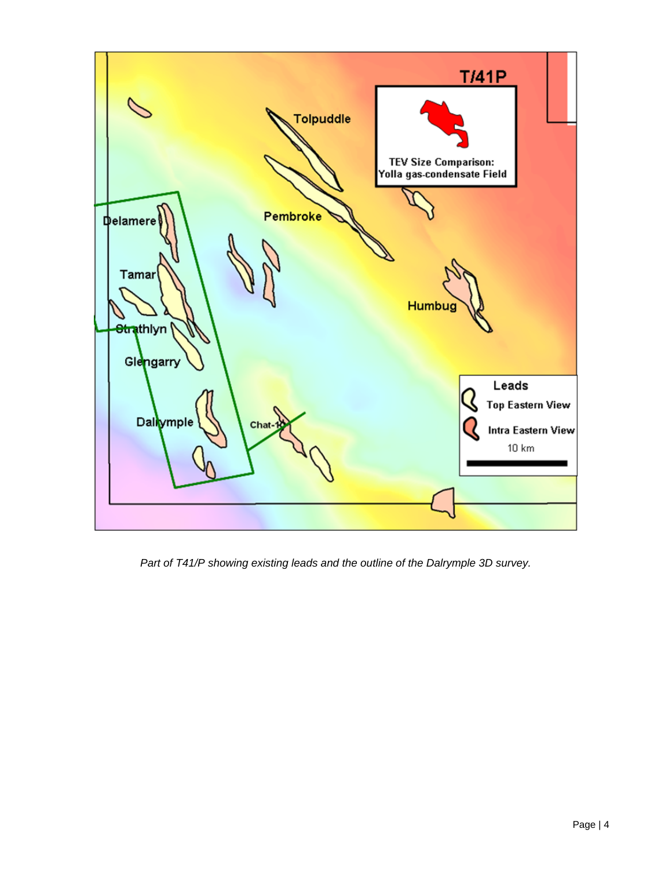

*Part of T41/P showing existing leads and the outline of the Dalrymple 3D survey.*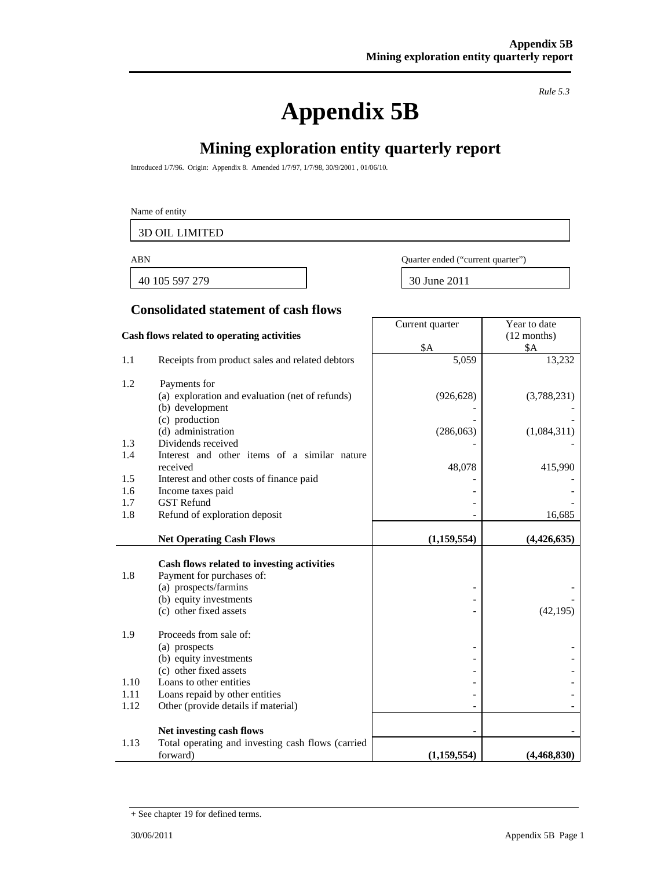# **Appendix 5B**

*Rule 5.3* 

Year to date (12 months)

## **Mining exploration entity quarterly report**

Introduced 1/7/96. Origin: Appendix 8. Amended 1/7/97, 1/7/98, 30/9/2001 , 01/06/10.

#### Name of entity

3D OIL LIMITED

40 105 597 279 30 June 2011

ABN Quarter ended ("current quarter")

Current quarter

#### **Consolidated statement of cash flows**

#### **Cash flows related to operating activities**

|      |                                                                    | \$A         | <b>\$A</b>  |
|------|--------------------------------------------------------------------|-------------|-------------|
| 1.1  | Receipts from product sales and related debtors                    | 5,059       | 13,232      |
|      |                                                                    |             |             |
| 1.2  | Payments for                                                       | (926, 628)  |             |
|      | (a) exploration and evaluation (net of refunds)<br>(b) development |             | (3,788,231) |
|      | (c) production                                                     |             |             |
|      | (d) administration                                                 | (286,063)   | (1,084,311) |
| 1.3  | Dividends received                                                 |             |             |
| 1.4  | Interest and other items of a similar nature                       |             |             |
|      | received                                                           | 48,078      | 415,990     |
| 1.5  | Interest and other costs of finance paid                           |             |             |
| 1.6  | Income taxes paid                                                  |             |             |
| 1.7  | <b>GST Refund</b>                                                  |             |             |
| 1.8  | Refund of exploration deposit                                      |             | 16,685      |
|      | <b>Net Operating Cash Flows</b>                                    | (1,159,554) | (4,426,635) |
|      |                                                                    |             |             |
|      | Cash flows related to investing activities                         |             |             |
| 1.8  | Payment for purchases of:                                          |             |             |
|      | (a) prospects/farmins                                              |             |             |
|      | (b) equity investments                                             |             |             |
|      | (c) other fixed assets                                             |             | (42, 195)   |
| 1.9  | Proceeds from sale of:                                             |             |             |
|      | (a) prospects                                                      |             |             |
|      | (b) equity investments                                             |             |             |
|      | (c) other fixed assets                                             |             |             |
| 1.10 | Loans to other entities                                            |             |             |
| 1.11 | Loans repaid by other entities                                     |             |             |
| 1.12 | Other (provide details if material)                                |             |             |
|      |                                                                    |             |             |
|      | Net investing cash flows                                           |             |             |
| 1.13 | Total operating and investing cash flows (carried                  |             |             |
|      | forward)                                                           | (1,159,554) | (4,468,830) |

<sup>+</sup> See chapter 19 for defined terms.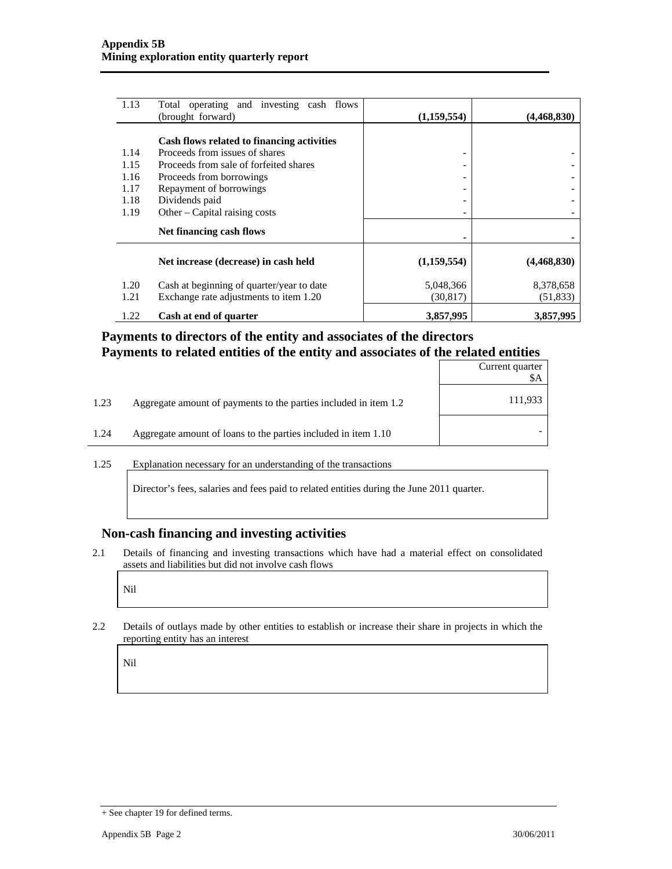| 1.13 | Total operating and investing cash flows<br>(brought forward) | (1,159,554)                  | (4,468,830) |
|------|---------------------------------------------------------------|------------------------------|-------------|
|      |                                                               |                              |             |
|      | Cash flows related to financing activities                    |                              |             |
| 1.14 | Proceeds from issues of shares                                | -                            |             |
| 1.15 | Proceeds from sale of forfeited shares                        | -                            |             |
| 1.16 | Proceeds from borrowings                                      | $\qquad \qquad \blacksquare$ |             |
| 1.17 | Repayment of borrowings                                       |                              |             |
| 1.18 | Dividends paid                                                | $\qquad \qquad \blacksquare$ |             |
| 1.19 | Other – Capital raising costs                                 | $\overline{\phantom{0}}$     |             |
|      | Net financing cash flows                                      |                              |             |
|      | Net increase (decrease) in cash held                          | (1,159,554)                  | (4,468,830) |
| 1.20 | Cash at beginning of quarter/year to date                     | 5,048,366                    | 8,378,658   |
| 1.21 | Exchange rate adjustments to item 1.20                        | (30, 817)                    | (51, 833)   |
| 1.22 | Cash at end of quarter                                        | 3,857,995                    | 3,857,995   |

#### **Payments to directors of the entity and associates of the directors Payments to related entities of the entity and associates of the related entities**

|                                                                          | Current quarter<br>\$A |
|--------------------------------------------------------------------------|------------------------|
| 1.23<br>Aggregate amount of payments to the parties included in item 1.2 | 111,933                |
| Aggregate amount of loans to the parties included in item 1.10<br>1.24   |                        |

1.25 Explanation necessary for an understanding of the transactions

Director's fees, salaries and fees paid to related entities during the June 2011 quarter.

#### **Non-cash financing and investing activities**

2.1 Details of financing and investing transactions which have had a material effect on consolidated assets and liabilities but did not involve cash flows

Nil

2.2 Details of outlays made by other entities to establish or increase their share in projects in which the reporting entity has an interest

Nil

<sup>+</sup> See chapter 19 for defined terms.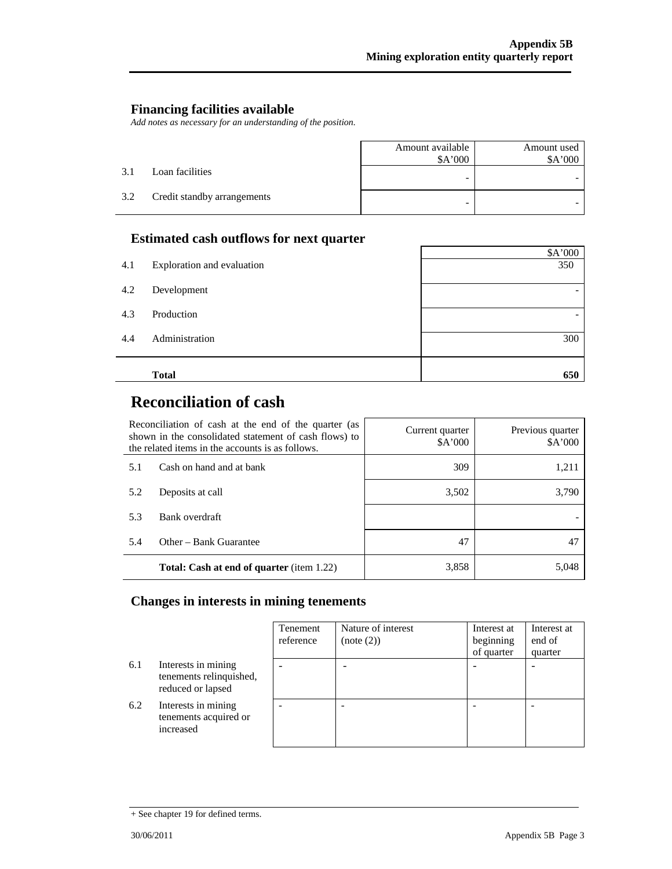#### **Financing facilities available**

*Add notes as necessary for an understanding of the position.* 

|     |                             | Amount available | Amount used |
|-----|-----------------------------|------------------|-------------|
|     |                             | \$A'000          | \$A'000     |
| 3.1 | Loan facilities             | -                |             |
| 3.2 | Credit standby arrangements | -                |             |

#### **Estimated cash outflows for next quarter**

| 4.1<br>Exploration and evaluation | 350 |
|-----------------------------------|-----|
| 4.2<br>Development                |     |
| 4.3<br>Production                 |     |
| 4.4<br>Administration             | 300 |
| <b>Total</b>                      | 650 |

## **Reconciliation of cash**

| Reconciliation of cash at the end of the quarter (as<br>shown in the consolidated statement of cash flows) to<br>the related items in the accounts is as follows. |                                                  | Current quarter<br>\$A'000 | Previous quarter<br>\$A'000 |
|-------------------------------------------------------------------------------------------------------------------------------------------------------------------|--------------------------------------------------|----------------------------|-----------------------------|
| 5.1                                                                                                                                                               | Cash on hand and at bank                         | 309                        | 1,211                       |
| 5.2                                                                                                                                                               | Deposits at call                                 | 3,502                      | 3,790                       |
| 5.3                                                                                                                                                               | Bank overdraft                                   |                            |                             |
| 5.4                                                                                                                                                               | Other – Bank Guarantee                           | 47                         | 47                          |
|                                                                                                                                                                   | <b>Total: Cash at end of quarter</b> (item 1.22) | 3,858                      | 5,048                       |

#### **Changes in interests in mining tenements**

|     |                                                                     | Tenement<br>reference | Nature of interest<br>(note (2)) | Interest at<br>beginning<br>of quarter | Interest at<br>end of<br>quarter |
|-----|---------------------------------------------------------------------|-----------------------|----------------------------------|----------------------------------------|----------------------------------|
| 6.1 | Interests in mining<br>tenements relinquished,<br>reduced or lapsed |                       |                                  |                                        |                                  |
| 6.2 | Interests in mining<br>tenements acquired or<br>increased           |                       |                                  |                                        |                                  |

<sup>+</sup> See chapter 19 for defined terms.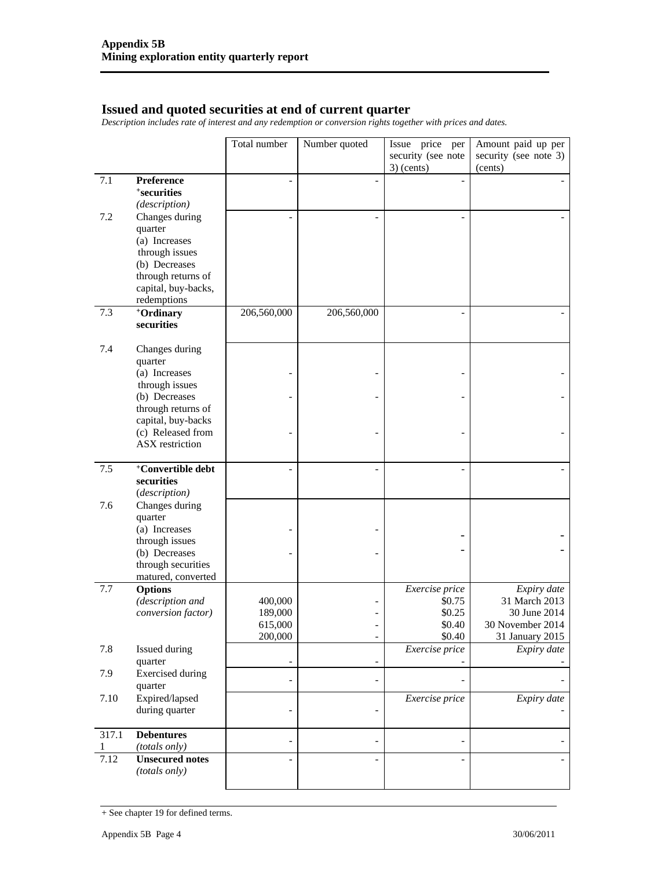#### **Issued and quoted securities at end of current quarter**

*Description includes rate of interest and any redemption or conversion rights together with prices and dates.* 

|            |                                                                           | Total number             | Number quoted            | Issue price per<br>security (see note | Amount paid up per<br>security (see note 3) |
|------------|---------------------------------------------------------------------------|--------------------------|--------------------------|---------------------------------------|---------------------------------------------|
|            |                                                                           |                          |                          | $3)$ (cents)                          | (cents)                                     |
| 7.1        | Preference<br><i><b>*securities</b></i><br>(description)                  |                          | $\overline{a}$           |                                       |                                             |
| 7.2        | Changes during<br>quarter<br>(a) Increases<br>through issues              |                          |                          |                                       |                                             |
|            | (b) Decreases<br>through returns of<br>capital, buy-backs,<br>redemptions |                          |                          |                                       |                                             |
| 7.3        | +Ordinary<br>securities                                                   | 206,560,000              | 206,560,000              | ۰                                     |                                             |
| 7.4        | Changes during<br>quarter                                                 |                          |                          |                                       |                                             |
|            | (a) Increases<br>through issues                                           |                          |                          |                                       |                                             |
|            | (b) Decreases<br>through returns of                                       |                          | $\overline{\phantom{0}}$ |                                       |                                             |
|            | capital, buy-backs<br>(c) Released from<br><b>ASX</b> restriction         |                          |                          |                                       |                                             |
| 7.5        | +Convertible debt<br>securities<br>(description)                          |                          | $\overline{a}$           |                                       |                                             |
| 7.6        | Changes during<br>quarter                                                 |                          |                          |                                       |                                             |
|            | (a) Increases<br>through issues                                           |                          |                          |                                       |                                             |
|            | (b) Decreases<br>through securities<br>matured, converted                 |                          | $\overline{\phantom{0}}$ |                                       |                                             |
| 7.7        | <b>Options</b>                                                            |                          |                          | Exercise price                        | Expiry date                                 |
|            | (description and                                                          | 400,000                  |                          | \$0.75                                | 31 March 2013                               |
|            | conversion factor)                                                        | 189,000<br>615,000       | $\overline{a}$           | \$0.25<br>\$0.40                      | 30 June 2014<br>30 November 2014            |
|            |                                                                           | 200,000                  | $\overline{\phantom{a}}$ | \$0.40                                | 31 January 2015                             |
| 7.8        | Issued during<br>quarter                                                  | $\overline{\phantom{a}}$ | $\overline{\phantom{0}}$ | Exercise price                        | Expiry date                                 |
| 7.9        | <b>Exercised</b> during<br>quarter                                        | $\overline{a}$           | $\overline{\phantom{0}}$ |                                       |                                             |
| 7.10       | Expired/lapsed<br>during quarter                                          |                          |                          | Exercise price                        | Expiry date                                 |
| 317.1<br>1 | <b>Debentures</b><br>(totals only)                                        |                          | $\overline{a}$           |                                       |                                             |
| 7.12       | <b>Unsecured notes</b><br>(totals only)                                   |                          |                          |                                       |                                             |

<sup>+</sup> See chapter 19 for defined terms.